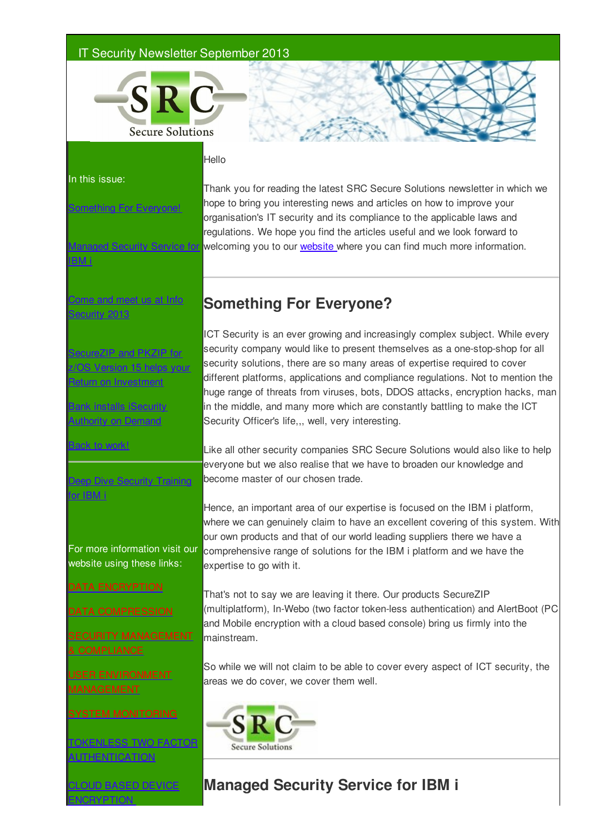### IT Security Newsletter September 2013



Thank you for reading the latest SRC Secure Solutions newsletter in which we

#### Hello

In this issue:

thing For Everyone!

Managed Security Service for BM i

me and meet us at Info Security 2013

**SecureZIP and PKZIP for** rsion 15 helps your eturn on Investment

**Bank installs iSecurity** uthority on Demand

Back to work!

eep Dive Security Training or IBM i

For more information visit our website using these links:

DATA ENCRYPTION

DATA COMPRESSION

SECURITY MANAGEMENT

USER ENVIRONMENT MANAGEMENT

SYSTEM MONITORING

TOKENLESS TWO FACTOR **UTHENTICATION** 

CLOUD BASED DEVICE ENCRYPTION

regulations. We hope you find the articles useful and we look forward to welcoming you to our website where you can find much more information.

hope to bring you interesting news and articles on how to improve your organisation's IT security and its compliance to the applicable laws and

# **Something For Everyone?**

ICT Security is an ever growing and increasingly complex subject. While every security company would like to present themselves as a one-stop-shop for all security solutions, there are so many areas of expertise required to cover different platforms, applications and compliance regulations. Not to mention the huge range of threats from viruses, bots, DDOS attacks, encryption hacks, man in the middle, and many more which are constantly battling to make the ICT Security Officer's life,., well, very interesting.

Like all other security companies SRC Secure Solutions would also like to help everyone but we also realise that we have to broaden our knowledge and become master of our chosen trade.

Hence, an important area of our expertise is focused on the IBM i platform, where we can genuinely claim to have an excellent covering of this system. With our own products and that of our world leading suppliers there we have a comprehensive range of solutions for the IBM i platform and we have the expertise to go with it.

That's not to say we are leaving it there. Our products SecureZIP (multiplatform), In-Webo (two factor token-less authentication) and AlertBoot (PC and Mobile encryption with a cloud based console) bring us firmly into the mainstream.

So while we will not claim to be able to cover every aspect of ICT security, the areas we do cover, we cover them well.



### **Managed Security Service for IBM i**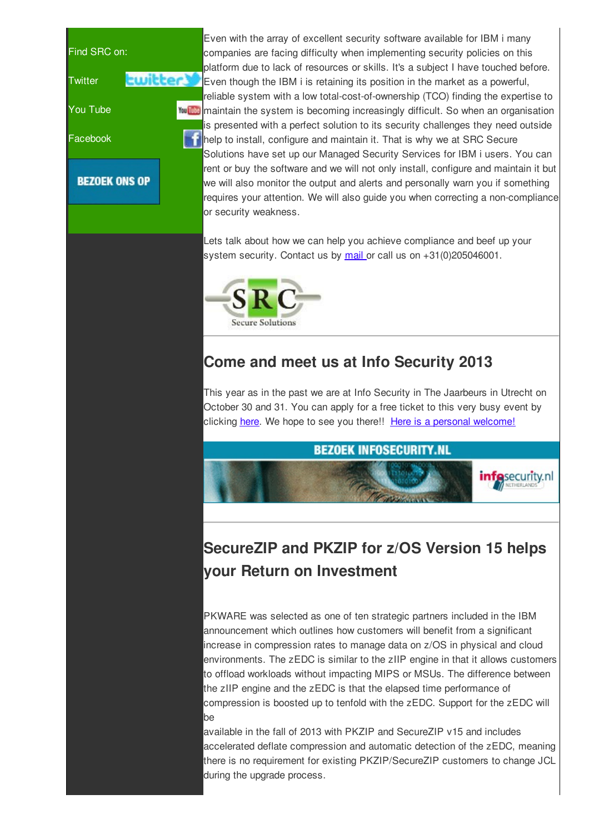

Even with the array of excellent security software available for IBM i many companies are facing difficulty when implementing security policies on this platform due to lack of resources or skills. It's a subject I have touched before. **Ewitter S** Even though the IBM i is retaining its position in the market as a powerful, reliable system with a low total-cost-of-ownership (TCO) finding the expertise to **Mou Duba** maintain the system is becoming increasingly difficult. So when an organisation is presented with a perfect solution to its security challenges they need outside help to install, configure and maintain it. That is why we at SRC Secure Solutions have set up our Managed Security Services for IBM i users. You can rent or buy the software and we will not only install, configure and maintain it but we will also monitor the output and alerts and personally warn you if something requires your attention. We will also guide you when correcting a non-compliance or security weakness.

> Lets talk about how we can help you achieve compliance and beef up your system security. Contact us by mail or call us on +31(0)205046001.



## **Come and meet us at Info Security 2013**

This year as in the past we are at Info Security in The Jaarbeurs in Utrecht on October 30 and 31. You can apply for a free ticket to this very busy event by clicking here. We hope to see you there!! Here is a personal welcome!



# **SecureZIP and PKZIP for z/OS Version 15 helps your Return on Investment**

PKWARE was selected as one of ten strategic partners included in the IBM announcement which outlines how customers will benefit from a significant increase in compression rates to manage data on z/OS in physical and cloud environments. The zEDC is similar to the zIIP engine in that it allows customers to offload workloads without impacting MIPS or MSUs. The difference between the zIIP engine and the zEDC is that the elapsed time performance of compression is boosted up to tenfold with the zEDC. Support for the zEDC will be

available in the fall of 2013 with PKZIP and SecureZIP v15 and includes accelerated deflate compression and automatic detection of the zEDC, meaning there is no requirement for existing PKZIP/SecureZIP customers to change JCL during the upgrade process.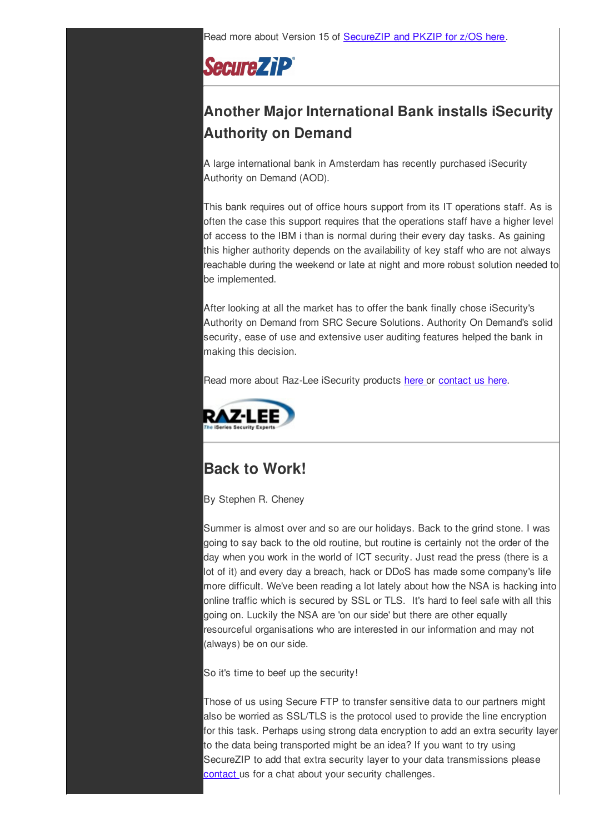Read more about Version 15 of SecureZIP and PKZIP for z/OS here.

**SecureZiP®** 

# **Another Major International Bank installs iSecurity Authority on Demand**

A large international bank in Amsterdam has recently purchased iSecurity Authority on Demand (AOD).

This bank requires out of office hours support from its IT operations staff. As is often the case this support requires that the operations staff have a higher level of access to the IBM i than is normal during their every day tasks. As gaining this higher authority depends on the availability of key staff who are not always reachable during the weekend or late at night and more robust solution needed to be implemented.

After looking at all the market has to offer the bank finally chose iSecurity's Authority on Demand from SRC Secure Solutions. Authority On Demand's solid security, ease of use and extensive user auditing features helped the bank in making this decision.

Read more about Raz-Lee iSecurity products here or contact us here.



# **Back to Work!**

By Stephen R. Cheney

Summer is almost over and so are our holidays. Back to the grind stone. I was going to say back to the old routine, but routine is certainly not the order of the day when you work in the world of ICT security. Just read the press (there is a lot of it) and every day a breach, hack or DDoS has made some company's life more difficult. We've been reading a lot lately about how the NSA is hacking into online traffic which is secured by SSL or TLS. It's hard to feel safe with all this going on. Luckily the NSA are 'on our side' but there are other equally resourceful organisations who are interested in our information and may not (always) be on our side.

So it's time to beef up the security!

Those of us using Secure FTP to transfer sensitive data to our partners might also be worried as SSL/TLS is the protocol used to provide the line encryption for this task. Perhaps using strong data encryption to add an extra security layer to the data being transported might be an idea? If you want to try using SecureZIP to add that extra security layer to your data transmissions please contact us for a chat about your security challenges.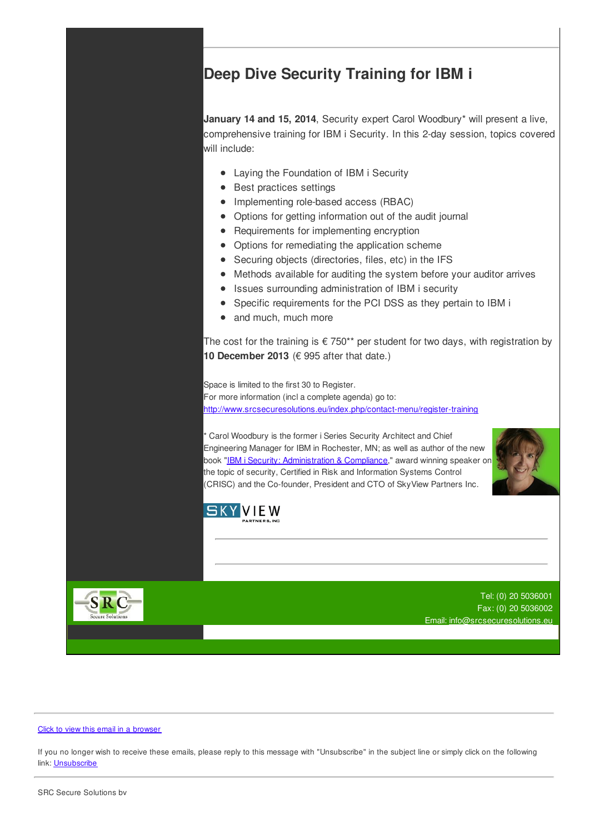### **Deep Dive Security Training for IBM i**

**January 14 and 15, 2014**, Security expert Carol Woodbury\* will present a live, comprehensive training for IBM i Security. In this 2-day session, topics covered will include:

- Laying the Foundation of IBM i Security
- Best practices settings
- Implementing role-based access (RBAC)
- Options for getting information out of the audit journal
- Requirements for implementing encryption
- Options for remediating the application scheme
- Securing objects (directories, files, etc) in the IFS
- Methods available for auditing the system before your auditor arrives  $\bullet$
- Issues surrounding administration of IBM i security
- Specific requirements for the PCI DSS as they pertain to IBM i
- and much, much more

The cost for the training is  $\epsilon$  750\*\* per student for two days, with registration by **10 December 2013** (€ 995 after that date.)

Space is limited to the first 30 to Register. For more information (incl a complete agenda) go to: http://www.srcsecuresolutions.eu/index.php/contact-menu/register-training

\* Carol Woodbury is the former i Series Security Architect and Chief Engineering Manager for IBM in Rochester, MN; as well as author of the new book "IBM i Security: Administration & Compliance," award winning speaker on the topic of security, Certified in Risk and Information Systems Control (CRISC) and the Co-founder, President and CTO of SkyView Partners Inc.





Tel: (0) 20 5036001 Fax: (0) 20 5036002 Email: info@srcsecuresolutions.eu



#### Click to view this email in a browser

If you no longer wish to receive these emails, please reply to this message with "Unsubscribe" in the subject line or simply click on the following link: **Unsubscribe**